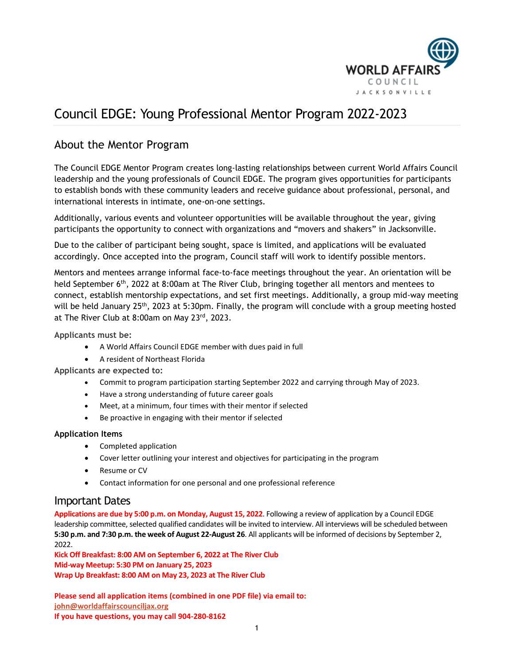

### Council EDGE: Young Professional Mentor Program 2022-2023

#### About the Mentor Program

The Council EDGE Mentor Program creates long-lasting relationships between current World Affairs Council leadership and the young professionals of Council EDGE. The program gives opportunities for participants to establish bonds with these community leaders and receive guidance about professional, personal, and international interests in intimate, one-on-one settings.

Additionally, various events and volunteer opportunities will be available throughout the year, giving participants the opportunity to connect with organizations and "movers and shakers" in Jacksonville.

Due to the caliber of participant being sought, space is limited, and applications will be evaluated accordingly. Once accepted into the program, Council staff will work to identify possible mentors.

Mentors and mentees arrange informal face-to-face meetings throughout the year. An orientation will be held September 6<sup>th</sup>, 2022 at 8:00am at The River Club, bringing together all mentors and mentees to connect, establish mentorship expectations, and set first meetings. Additionally, a group mid-way meeting will be held January 25<sup>th</sup>, 2023 at 5:30pm. Finally, the program will conclude with a group meeting hosted at The River Club at 8:00am on May 23rd, 2023.

**Applicants must be:**

- A World Affairs Council EDGE member with dues paid in full
- A resident of Northeast Florida

**Applicants are expected to:**

- Commit to program participation starting September 2022 and carrying through May of 2023.
- Have a strong understanding of future career goals
- Meet, at a minimum, four times with their mentor if selected
- Be proactive in engaging with their mentor if selected

#### **Application Items**

- Completed application
- Cover letter outlining your interest and objectives for participating in the program
- Resume or CV
- Contact information for one personal and one professional reference

#### Important Dates

**Applications are due by 5:00 p.m. on Monday, August 15, 2022**. Following a review of application by a Council EDGE leadership committee, selected qualified candidates will be invited to interview. All interviews will be scheduled between **5:30 p.m. and 7:30 p.m. the week of August 22-August 26**. All applicants will be informed of decisions by September 2, 2022.

**Kick Off Breakfast: 8:00 AM on September 6, 2022 at The River Club Mid-way Meetup: 5:30 PM on January 25, 2023 Wrap Up Breakfast: 8:00 AM on May 23, 2023 at The River Club**

**Please send all application items (combined in one PDF file) via email to: [john@worldaffairscounciljax.org](mailto:john@worldaffairscounciljax.org) If you have questions, you may call 904-280-8162**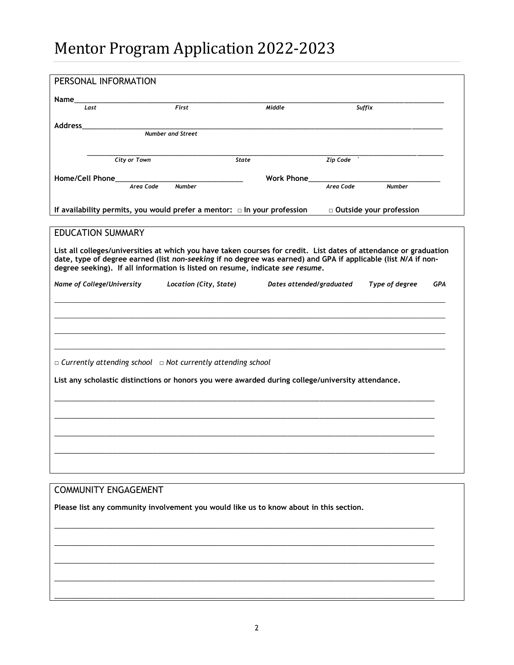# Mentor Program Application 2022-2023

| PERSONAL INFORMATION                                                                                       |                            |                          |                                                                                                                                                                                                                                     |            |
|------------------------------------------------------------------------------------------------------------|----------------------------|--------------------------|-------------------------------------------------------------------------------------------------------------------------------------------------------------------------------------------------------------------------------------|------------|
| Name                                                                                                       |                            |                          |                                                                                                                                                                                                                                     |            |
| Last                                                                                                       | First                      | Middle                   | Suffix                                                                                                                                                                                                                              |            |
| Address                                                                                                    | <b>Number and Street</b>   |                          |                                                                                                                                                                                                                                     |            |
|                                                                                                            |                            |                          |                                                                                                                                                                                                                                     |            |
| City or Town                                                                                               |                            | State                    | Zip Code                                                                                                                                                                                                                            |            |
| Home/Cell Phone                                                                                            |                            | <b>Work Phone</b>        |                                                                                                                                                                                                                                     |            |
|                                                                                                            | Area Code<br><b>Number</b> |                          | Area Code<br><b>Number</b>                                                                                                                                                                                                          |            |
| If availability permits, you would prefer a mentor: $\Box$ In your profession<br>□ Outside your profession |                            |                          |                                                                                                                                                                                                                                     |            |
| <b>EDUCATION SUMMARY</b>                                                                                   |                            |                          |                                                                                                                                                                                                                                     |            |
| degree seeking). If all information is listed on resume, indicate see resume.                              |                            |                          | List all colleges/universities at which you have taken courses for credit. List dates of attendance or graduation<br>date, type of degree earned (list non-seeking if no degree was earned) and GPA if applicable (list N/A if non- |            |
| Name of College/University                                                                                 | Location (City, State)     | Dates attended/graduated | Type of degree                                                                                                                                                                                                                      | <b>GPA</b> |
|                                                                                                            |                            |                          |                                                                                                                                                                                                                                     |            |
|                                                                                                            |                            |                          |                                                                                                                                                                                                                                     |            |
|                                                                                                            |                            |                          |                                                                                                                                                                                                                                     |            |
|                                                                                                            |                            |                          |                                                                                                                                                                                                                                     |            |
| $\Box$ Currently attending school $\Box$ Not currently attending school                                    |                            |                          |                                                                                                                                                                                                                                     |            |
| List any scholastic distinctions or honors you were awarded during college/university attendance.          |                            |                          |                                                                                                                                                                                                                                     |            |
|                                                                                                            |                            |                          |                                                                                                                                                                                                                                     |            |
|                                                                                                            |                            |                          |                                                                                                                                                                                                                                     |            |
|                                                                                                            |                            |                          |                                                                                                                                                                                                                                     |            |
|                                                                                                            |                            |                          |                                                                                                                                                                                                                                     |            |
|                                                                                                            |                            |                          |                                                                                                                                                                                                                                     |            |
|                                                                                                            |                            |                          |                                                                                                                                                                                                                                     |            |
| <b>COMMUNITY ENGAGEMENT</b>                                                                                |                            |                          |                                                                                                                                                                                                                                     |            |
| Please list any community involvement you would like us to know about in this section.                     |                            |                          |                                                                                                                                                                                                                                     |            |
|                                                                                                            |                            |                          |                                                                                                                                                                                                                                     |            |
|                                                                                                            |                            |                          |                                                                                                                                                                                                                                     |            |
|                                                                                                            |                            |                          |                                                                                                                                                                                                                                     |            |
|                                                                                                            |                            |                          |                                                                                                                                                                                                                                     |            |
|                                                                                                            |                            |                          |                                                                                                                                                                                                                                     |            |
|                                                                                                            |                            |                          |                                                                                                                                                                                                                                     |            |